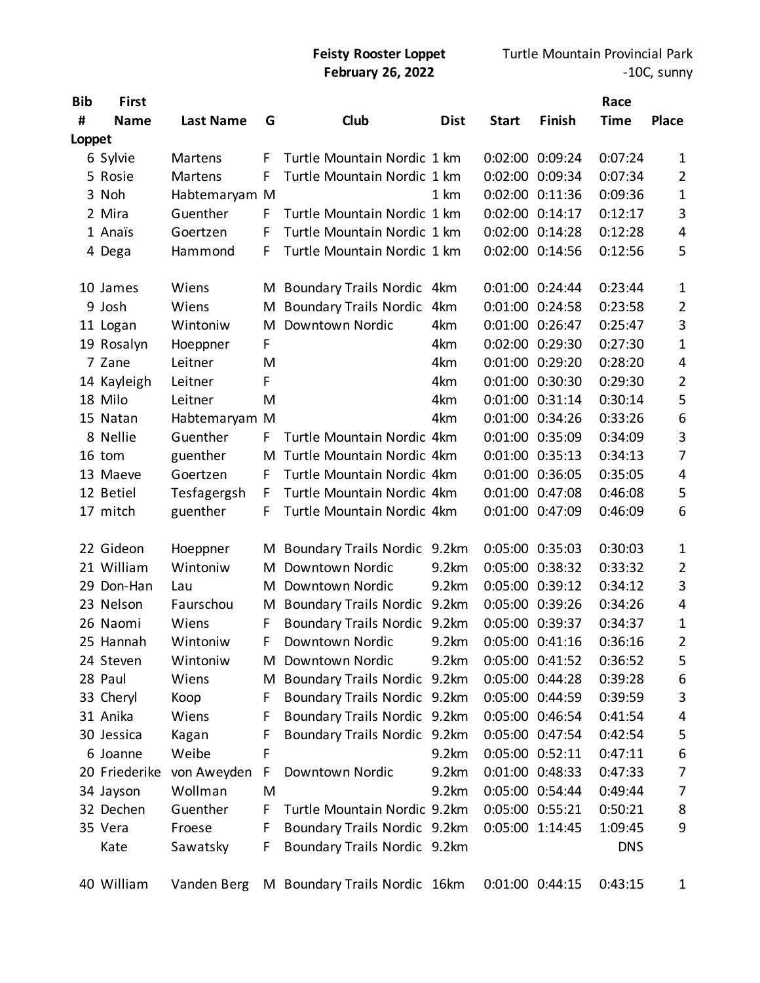| <b>Bib</b> | First         |                  |   |                               |             |                 |                 | Race        |                  |
|------------|---------------|------------------|---|-------------------------------|-------------|-----------------|-----------------|-------------|------------------|
| #          | <b>Name</b>   | <b>Last Name</b> | G | Club                          | <b>Dist</b> | <b>Start</b>    | Finish          | <b>Time</b> | <b>Place</b>     |
| Loppet     |               |                  |   |                               |             |                 |                 |             |                  |
|            | 6 Sylvie      | Martens          | E | Turtle Mountain Nordic 1 km   |             | 0:02:00         | 0:09:24         | 0:07:24     | 1                |
|            | 5 Rosie       | <b>Martens</b>   | F | Turtle Mountain Nordic 1 km   |             | 0:02:00 0:09:34 |                 | 0:07:34     | $\overline{2}$   |
|            | 3 Noh         | Habtemaryam M    |   |                               | 1 km        |                 | 0:02:00 0:11:36 | 0:09:36     | 1                |
|            | 2 Mira        | Guenther         | E | Turtle Mountain Nordic 1 km   |             | 0:02:00 0:14:17 |                 | 0:12:17     | 3                |
|            | 1 Anaïs       | Goertzen         | F | Turtle Mountain Nordic 1 km   |             | 0:02:00 0:14:28 |                 | 0:12:28     | 4                |
|            | 4 Dega        | Hammond          | F | Turtle Mountain Nordic 1 km   |             |                 | 0:02:00 0:14:56 | 0:12:56     | 5                |
|            | 10 James      | Wiens            | M | Boundary Trails Nordic 4km    |             | 0:01:00 0:24:44 |                 | 0:23:44     | 1                |
|            | 9 Josh        | Wiens            | M | <b>Boundary Trails Nordic</b> | 4km         | 0:01:00 0:24:58 |                 | 0:23:58     | $\overline{2}$   |
|            | 11 Logan      | Wintoniw         | M | Downtown Nordic               | 4km         | 0:01:00 0:26:47 |                 | 0:25:47     | 3                |
|            | 19 Rosalyn    | Hoeppner         | F |                               | 4km         |                 | 0:02:00 0:29:30 | 0:27:30     | 1                |
|            | 7 Zane        | Leitner          | M |                               | 4km         |                 | 0:01:00 0:29:20 | 0:28:20     | 4                |
|            | 14 Kayleigh   | Leitner          | F |                               | 4km         | 0:01:00 0:30:30 |                 | 0:29:30     | $\overline{2}$   |
|            | 18 Milo       | Leitner          | M |                               | 4km         | 0:01:00 0:31:14 |                 | 0:30:14     | 5                |
|            | 15 Natan      | Habtemaryam M    |   |                               | 4km         |                 | 0:01:00 0:34:26 | 0:33:26     | $\boldsymbol{6}$ |
|            | 8 Nellie      | Guenther         | F | Turtle Mountain Nordic 4km    |             | 0:01:00 0:35:09 |                 | 0:34:09     | 3                |
|            | 16 tom        | guenther         | M | Turtle Mountain Nordic 4km    |             | 0:01:00 0:35:13 |                 | 0:34:13     | 7                |
|            | 13 Maeve      | Goertzen         | E | Turtle Mountain Nordic 4km    |             | 0:01:00 0:36:05 |                 | 0:35:05     | 4                |
|            | 12 Betiel     | Tesfagergsh      | E | Turtle Mountain Nordic 4km    |             |                 | 0:01:00 0:47:08 | 0:46:08     | 5                |
|            | 17 mitch      | guenther         | F | Turtle Mountain Nordic 4km    |             | 0:01:00 0:47:09 |                 | 0:46:09     | 6                |
|            | 22 Gideon     | Hoeppner         | M | Boundary Trails Nordic 9.2km  |             | 0:05:00 0:35:03 |                 | 0:30:03     | 1                |
|            | 21 William    | Wintoniw         | M | Downtown Nordic               | 9.2km       | 0:05:00 0:38:32 |                 | 0:33:32     | $\overline{2}$   |
|            | 29 Don-Han    | Lau              | М | Downtown Nordic               | 9.2km       | 0:05:00 0:39:12 |                 | 0:34:12     | $\mathbf{3}$     |
|            | 23 Nelson     | Faurschou        | M | <b>Boundary Trails Nordic</b> | 9.2km       | 0:05:00 0:39:26 |                 | 0:34:26     | 4                |
|            | 26 Naomi      | Wiens            | F | <b>Boundary Trails Nordic</b> | 9.2km       | 0:05:00 0:39:37 |                 | 0:34:37     | 1                |
|            | 25 Hannah     | Wintoniw         | F | Downtown Nordic               | 9.2km       | 0:05:00 0:41:16 |                 | 0:36:16     | 2                |
|            | 24 Steven     | Wintoniw         | M | Downtown Nordic               | 9.2km       | 0:05:00 0:41:52 |                 | 0:36:52     | 5                |
|            | 28 Paul       | Wiens            | M | Boundary Trails Nordic 9.2km  |             | 0:05:00 0:44:28 |                 | 0:39:28     | 6                |
|            | 33 Cheryl     | Koop             | F | Boundary Trails Nordic 9.2km  |             | 0:05:00 0:44:59 |                 | 0:39:59     | 3                |
|            | 31 Anika      | Wiens            | F | Boundary Trails Nordic 9.2km  |             |                 | 0:05:00 0:46:54 | 0:41:54     | 4                |
|            | 30 Jessica    | Kagan            | F | Boundary Trails Nordic 9.2km  |             | 0:05:00 0:47:54 |                 | 0:42:54     | 5                |
|            | 6 Joanne      | Weibe            | F |                               | 9.2km       | 0:05:00 0:52:11 |                 | 0:47:11     | 6                |
|            | 20 Friederike | von Aweyden      | F | Downtown Nordic               | 9.2km       | 0:01:00 0:48:33 |                 | 0:47:33     | 7                |
|            | 34 Jayson     | Wollman          | M |                               | 9.2km       | 0:05:00 0:54:44 |                 | 0:49:44     | 7                |
|            | 32 Dechen     | Guenther         | F | Turtle Mountain Nordic 9.2km  |             | 0:05:00 0:55:21 |                 | 0:50:21     | 8                |
|            | 35 Vera       | Froese           | F | Boundary Trails Nordic 9.2km  |             | 0:05:00 1:14:45 |                 | 1:09:45     | 9                |
|            | Kate          | Sawatsky         | F | Boundary Trails Nordic 9.2km  |             |                 |                 | <b>DNS</b>  |                  |
|            | 40 William    | Vanden Berg      |   | M Boundary Trails Nordic 16km |             | 0:01:00 0:44:15 |                 | 0:43:15     | 1                |